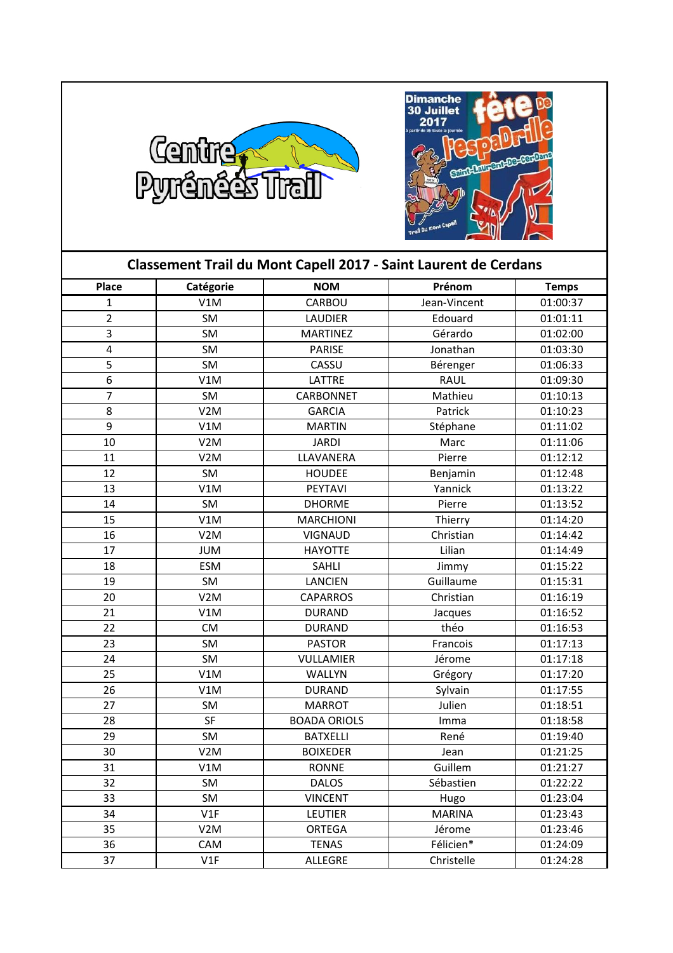



| Classement Trail du Mont Capell 2017 - Saint Laurent de Cerdans |                  |                     |               |              |  |
|-----------------------------------------------------------------|------------------|---------------------|---------------|--------------|--|
| <b>Place</b>                                                    | Catégorie        | <b>NOM</b>          | Prénom        | <b>Temps</b> |  |
| $\mathbf{1}$                                                    | V1M              | CARBOU              | Jean-Vincent  | 01:00:37     |  |
| $\overline{2}$                                                  | SM               | <b>LAUDIER</b>      | Edouard       | 01:01:11     |  |
| $\overline{\mathbf{3}}$                                         | SM               | <b>MARTINEZ</b>     | Gérardo       | 01:02:00     |  |
| $\overline{\mathbf{4}}$                                         | SM               | <b>PARISE</b>       | Jonathan      | 01:03:30     |  |
| 5                                                               | SM               | CASSU               | Bérenger      | 01:06:33     |  |
| $\overline{6}$                                                  | V1M              | LATTRE              | <b>RAUL</b>   | 01:09:30     |  |
| $\overline{7}$                                                  | SM               | CARBONNET           | Mathieu       | 01:10:13     |  |
| 8                                                               | V <sub>2</sub> M | <b>GARCIA</b>       | Patrick       | 01:10:23     |  |
| 9                                                               | V1M              | <b>MARTIN</b>       | Stéphane      | 01:11:02     |  |
| 10                                                              | V <sub>2</sub> M | <b>JARDI</b>        | Marc          | 01:11:06     |  |
| 11                                                              | V <sub>2</sub> M | LLAVANERA           | Pierre        | 01:12:12     |  |
| 12                                                              | SM               | <b>HOUDEE</b>       | Benjamin      | 01:12:48     |  |
| 13                                                              | V1M              | PEYTAVI             | Yannick       | 01:13:22     |  |
| 14                                                              | SM               | <b>DHORME</b>       | Pierre        | 01:13:52     |  |
| 15                                                              | V1M              | <b>MARCHIONI</b>    | Thierry       | 01:14:20     |  |
| 16                                                              | V <sub>2</sub> M | <b>VIGNAUD</b>      | Christian     | 01:14:42     |  |
| 17                                                              | <b>JUM</b>       | <b>HAYOTTE</b>      | Lilian        | 01:14:49     |  |
| 18                                                              | <b>ESM</b>       | SAHLI               | Jimmy         | 01:15:22     |  |
| 19                                                              | SM               | <b>LANCIEN</b>      | Guillaume     | 01:15:31     |  |
| 20                                                              | V <sub>2</sub> M | <b>CAPARROS</b>     | Christian     | 01:16:19     |  |
| 21                                                              | V1M              | <b>DURAND</b>       | Jacques       | 01:16:52     |  |
| 22                                                              | <b>CM</b>        | <b>DURAND</b>       | théo          | 01:16:53     |  |
| 23                                                              | SM               | <b>PASTOR</b>       | Francois      | 01:17:13     |  |
| 24                                                              | SM               | <b>VULLAMIER</b>    | Jérome        | 01:17:18     |  |
| 25                                                              | V1M              | WALLYN              | Grégory       | 01:17:20     |  |
| 26                                                              | V1M              | <b>DURAND</b>       | Sylvain       | 01:17:55     |  |
| 27                                                              | SM               | <b>MARROT</b>       | Julien        | 01:18:51     |  |
| 28                                                              | SF               | <b>BOADA ORIOLS</b> | Imma          | 01:18:58     |  |
| 29                                                              | SM               | <b>BATXELLI</b>     | René          | 01:19:40     |  |
| 30                                                              | V <sub>2</sub> M | <b>BOIXEDER</b>     | Jean          | 01:21:25     |  |
| 31                                                              | V1M              | <b>RONNE</b>        | Guillem       | 01:21:27     |  |
| 32                                                              | SM               | <b>DALOS</b>        | Sébastien     | 01:22:22     |  |
| 33                                                              | SM               | <b>VINCENT</b>      | Hugo          | 01:23:04     |  |
| 34                                                              | V1F              | <b>LEUTIER</b>      | <b>MARINA</b> | 01:23:43     |  |
| 35                                                              | V <sub>2</sub> M | <b>ORTEGA</b>       | Jérome        | 01:23:46     |  |
| 36                                                              | CAM              | <b>TENAS</b>        | Félicien*     | 01:24:09     |  |
| 37                                                              | V1F              | <b>ALLEGRE</b>      | Christelle    | 01:24:28     |  |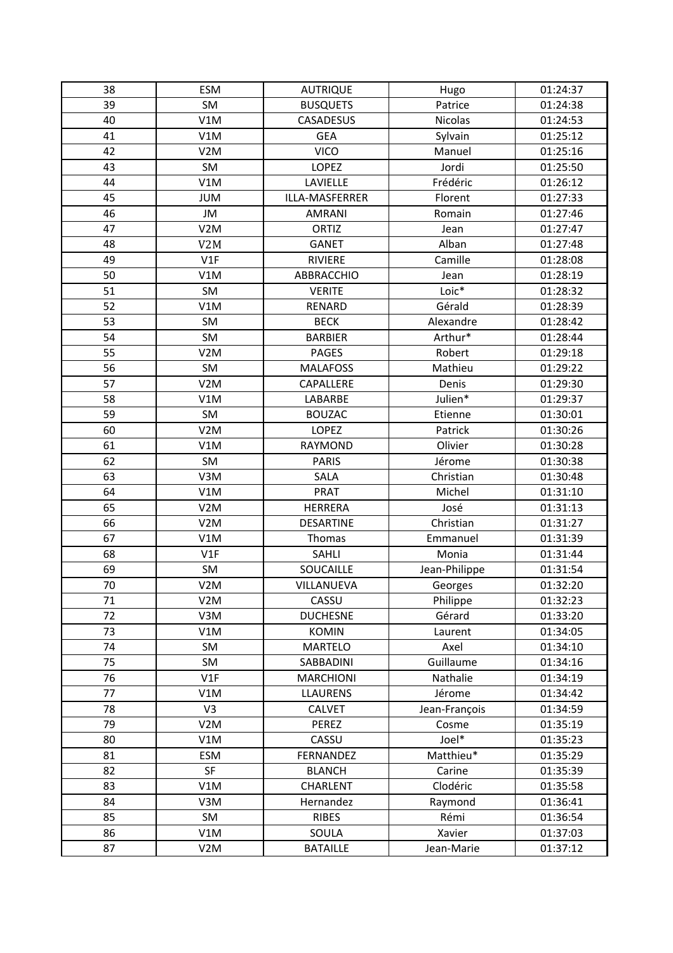| 38 | <b>ESM</b>       | <b>AUTRIQUE</b>  | Hugo           | 01:24:37 |
|----|------------------|------------------|----------------|----------|
| 39 | SM               | <b>BUSQUETS</b>  | Patrice        | 01:24:38 |
| 40 | V1M              | CASADESUS        | <b>Nicolas</b> | 01:24:53 |
| 41 | V1M              | <b>GEA</b>       | Sylvain        | 01:25:12 |
| 42 | V <sub>2</sub> M | <b>VICO</b>      | Manuel         | 01:25:16 |
| 43 | SM               | <b>LOPEZ</b>     | Jordi          | 01:25:50 |
| 44 | V1M              | LAVIELLE         | Frédéric       | 01:26:12 |
| 45 | <b>JUM</b>       | ILLA-MASFERRER   | Florent        | 01:27:33 |
| 46 | JM               | <b>AMRANI</b>    | Romain         | 01:27:46 |
| 47 | V <sub>2</sub> M | ORTIZ            | Jean           | 01:27:47 |
| 48 | V <sub>2</sub> M | <b>GANET</b>     | Alban          | 01:27:48 |
| 49 | V1F              | RIVIERE          | Camille        | 01:28:08 |
| 50 | V1M              | ABBRACCHIO       | Jean           | 01:28:19 |
| 51 | SM               | <b>VERITE</b>    | $Loic*$        | 01:28:32 |
| 52 | V1M              | RENARD           | Gérald         | 01:28:39 |
| 53 | <b>SM</b>        | <b>BECK</b>      | Alexandre      | 01:28:42 |
| 54 | SM               | <b>BARBIER</b>   | Arthur*        | 01:28:44 |
| 55 | V <sub>2</sub> M | <b>PAGES</b>     | Robert         | 01:29:18 |
| 56 | SM               | <b>MALAFOSS</b>  | Mathieu        | 01:29:22 |
| 57 | V <sub>2</sub> M | CAPALLERE        | Denis          | 01:29:30 |
| 58 | V1M              | LABARBE          | Julien*        | 01:29:37 |
| 59 | SM               | <b>BOUZAC</b>    | Etienne        | 01:30:01 |
| 60 | V <sub>2</sub> M | LOPEZ            | Patrick        | 01:30:26 |
| 61 | V1M              | RAYMOND          | Olivier        | 01:30:28 |
| 62 | <b>SM</b>        | <b>PARIS</b>     | Jérome         | 01:30:38 |
| 63 | V3M              | <b>SALA</b>      | Christian      | 01:30:48 |
| 64 | V1M              | <b>PRAT</b>      | Michel         | 01:31:10 |
| 65 | V <sub>2</sub> M | <b>HERRERA</b>   | José           | 01:31:13 |
| 66 | V <sub>2</sub> M | <b>DESARTINE</b> | Christian      | 01:31:27 |
| 67 | V1M              | Thomas           | Emmanuel       | 01:31:39 |
| 68 | V1F              | SAHLI            | Monia          | 01:31:44 |
| 69 | SM               | SOUCAILLE        | Jean-Philippe  | 01:31:54 |
| 70 | V <sub>2</sub> M | VILLANUEVA       | Georges        | 01:32:20 |
| 71 | V <sub>2</sub> M | CASSU            | Philippe       | 01:32:23 |
| 72 | V3M              | <b>DUCHESNE</b>  | Gérard         | 01:33:20 |
| 73 | V1M              | <b>KOMIN</b>     | Laurent        | 01:34:05 |
| 74 | SM               | <b>MARTELO</b>   | Axel           | 01:34:10 |
| 75 | SM               | SABBADINI        | Guillaume      | 01:34:16 |
| 76 | V1F              | <b>MARCHIONI</b> | Nathalie       | 01:34:19 |
| 77 | V1M              | <b>LLAURENS</b>  | Jérome         | 01:34:42 |
| 78 | V3               | <b>CALVET</b>    | Jean-François  | 01:34:59 |
| 79 | V <sub>2</sub> M | PEREZ            | Cosme          | 01:35:19 |
| 80 | V1M              | CASSU            | Joel*          | 01:35:23 |
| 81 | <b>ESM</b>       | FERNANDEZ        | Matthieu*      | 01:35:29 |
| 82 | SF               | <b>BLANCH</b>    | Carine         | 01:35:39 |
| 83 | V1M              | CHARLENT         | Clodéric       | 01:35:58 |
| 84 | V3M              | Hernandez        | Raymond        | 01:36:41 |
| 85 | SM               | <b>RIBES</b>     | Rémi           | 01:36:54 |
| 86 | V1M              | SOULA            | Xavier         | 01:37:03 |
| 87 | V <sub>2</sub> M | <b>BATAILLE</b>  | Jean-Marie     | 01:37:12 |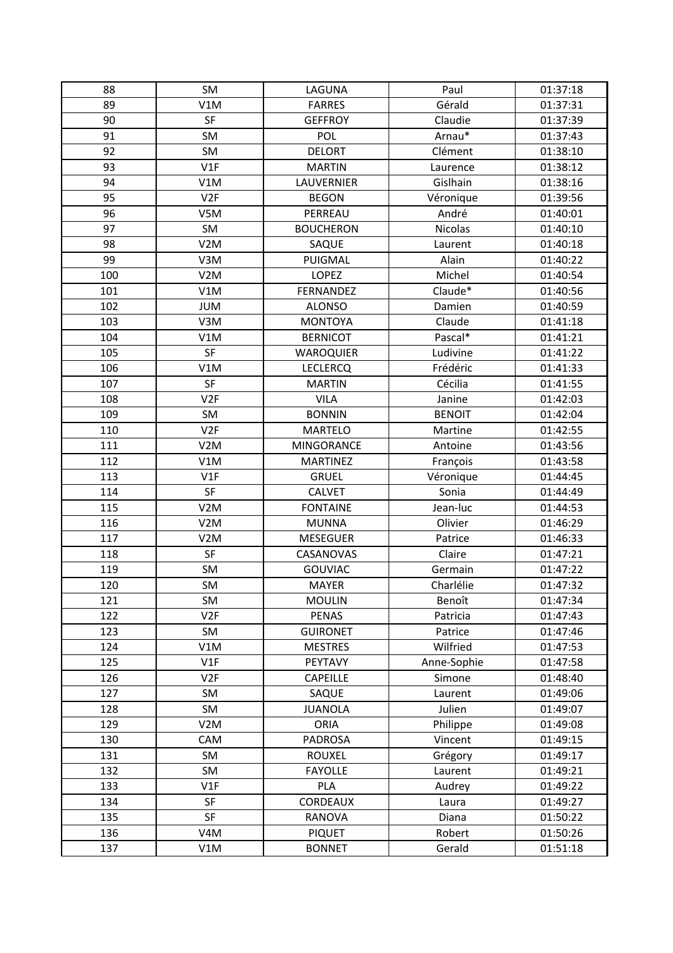| 88  | SM               | LAGUNA            | Paul          | 01:37:18 |
|-----|------------------|-------------------|---------------|----------|
| 89  | V1M              | <b>FARRES</b>     | Gérald        | 01:37:31 |
| 90  | SF               | <b>GEFFROY</b>    | Claudie       | 01:37:39 |
| 91  | SM               | POL               | Arnau*        | 01:37:43 |
| 92  | SM               | <b>DELORT</b>     | Clément       | 01:38:10 |
| 93  | V1F              | <b>MARTIN</b>     | Laurence      | 01:38:12 |
| 94  | V1M              | LAUVERNIER        | Gislhain      | 01:38:16 |
| 95  | V <sub>2F</sub>  | <b>BEGON</b>      | Véronique     | 01:39:56 |
| 96  | V5M              | PERREAU           | André         | 01:40:01 |
| 97  | SM               | <b>BOUCHERON</b>  | Nicolas       | 01:40:10 |
| 98  | V <sub>2</sub> M | SAQUE             | Laurent       | 01:40:18 |
| 99  | V3M              | PUIGMAL           | Alain         | 01:40:22 |
| 100 | V <sub>2</sub> M | <b>LOPEZ</b>      | Michel        | 01:40:54 |
| 101 | V1M              | FERNANDEZ         | Claude*       | 01:40:56 |
| 102 | <b>JUM</b>       | <b>ALONSO</b>     | Damien        | 01:40:59 |
| 103 | V3M              | <b>MONTOYA</b>    | Claude        | 01:41:18 |
| 104 | V1M              | <b>BERNICOT</b>   | Pascal*       | 01:41:21 |
| 105 | SF               | <b>WAROQUIER</b>  | Ludivine      | 01:41:22 |
| 106 | V1M              | <b>LECLERCQ</b>   | Frédéric      | 01:41:33 |
| 107 | SF               | <b>MARTIN</b>     | Cécilia       | 01:41:55 |
| 108 | V <sub>2F</sub>  | <b>VILA</b>       | Janine        | 01:42:03 |
| 109 | SM               | <b>BONNIN</b>     | <b>BENOIT</b> | 01:42:04 |
| 110 | V <sub>2F</sub>  | <b>MARTELO</b>    | Martine       | 01:42:55 |
| 111 | V <sub>2</sub> M | <b>MINGORANCE</b> | Antoine       | 01:43:56 |
| 112 | V1M              | <b>MARTINEZ</b>   | François      | 01:43:58 |
| 113 | V1F              | <b>GRUEL</b>      | Véronique     | 01:44:45 |
| 114 | SF               | <b>CALVET</b>     | Sonia         | 01:44:49 |
| 115 | V <sub>2</sub> M | <b>FONTAINE</b>   | Jean-luc      | 01:44:53 |
| 116 | V <sub>2</sub> M | <b>MUNNA</b>      | Olivier       | 01:46:29 |
| 117 | V <sub>2</sub> M | <b>MESEGUER</b>   | Patrice       | 01:46:33 |
| 118 | SF               | CASANOVAS         | Claire        | 01:47:21 |
| 119 | SM               | <b>GOUVIAC</b>    | Germain       | 01:47:22 |
| 120 | SM               | MAYER             | Charlélie     | 01:47:32 |
| 121 | SM               | <b>MOULIN</b>     | Benoît        | 01:47:34 |
| 122 | V <sub>2F</sub>  | <b>PENAS</b>      | Patricia      | 01:47:43 |
| 123 | SM               | <b>GUIRONET</b>   | Patrice       | 01:47:46 |
| 124 | V1M              | <b>MESTRES</b>    | Wilfried      | 01:47:53 |
| 125 | V1F              | PEYTAVY           | Anne-Sophie   | 01:47:58 |
| 126 | V <sub>2F</sub>  | <b>CAPEILLE</b>   | Simone        | 01:48:40 |
| 127 | SM               | SAQUE             | Laurent       | 01:49:06 |
| 128 | SM               | <b>JUANOLA</b>    | Julien        | 01:49:07 |
| 129 | V <sub>2</sub> M | <b>ORIA</b>       | Philippe      | 01:49:08 |
| 130 | CAM              | <b>PADROSA</b>    | Vincent       | 01:49:15 |
| 131 | SM               | <b>ROUXEL</b>     | Grégory       | 01:49:17 |
| 132 | SM               | <b>FAYOLLE</b>    | Laurent       | 01:49:21 |
| 133 | V1F              | PLA               | Audrey        | 01:49:22 |
| 134 | SF               | CORDEAUX          | Laura         | 01:49:27 |
| 135 | SF               | RANOVA            | Diana         | 01:50:22 |
| 136 | V4M              | <b>PIQUET</b>     | Robert        | 01:50:26 |
| 137 | V1M              | <b>BONNET</b>     | Gerald        | 01:51:18 |